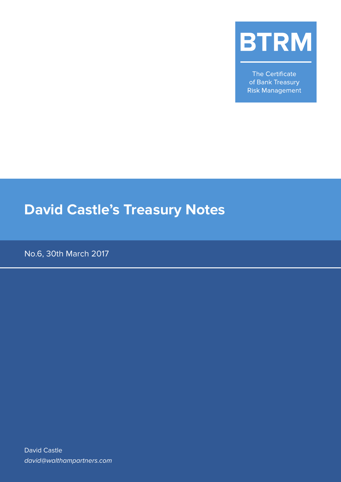

The Certificate of Bank Treasury **Risk Management** 

# **David Castle's Treasury Notes**

No.6, 30th March 2017

David Castle david@walthampartners.com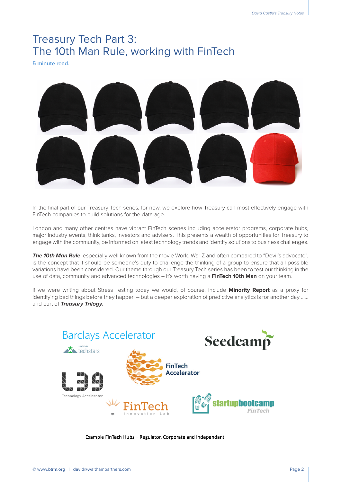## Treasury Tech Part 3: The 10th Man Rule, working with FinTech

**5 minute read.**



In the final part of our Treasury Tech series, for now, we explore how Treasury can most effectively engage with FinTech companies to build solutions for the data-age.

London and many other centres have vibrant FinTech scenes including accelerator programs, corporate hubs, major industry events, think tanks, investors and advisers. This presents a wealth of opportunities for Treasury to engage with the community, be informed on latest technology trends and identify solutions to business challenges.

**The 10th Man Rule**, especially well known from the movie World War Z and often compared to "Devil's advocate", is the concept that it should be someone's duty to challenge the thinking of a group to ensure that all possible variations have been considered. Our theme through our Treasury Tech series has been to test our thinking in the use of data, community and advanced technologies – it's worth having a **FinTech 10th Man** on your team.

If we were writing about Stress Testing today we would, of course, include **Minority Report** as a proxy for identifying bad things before they happen – but a deeper exploration of predictive analytics is for another day …… and part of **Treasury Trilogy.**



Example FinTech Hubs - Regulator, Corporate and Independant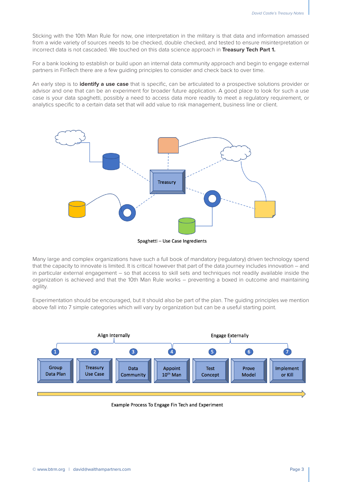Sticking with the 10th Man Rule for now, one interpretation in the military is that data and information amassed from a wide variety of sources needs to be checked, double checked, and tested to ensure misinterpretation or incorrect data is not cascaded. We touched on this data science approach in **Treasury Tech Part 1.**

For a bank looking to establish or build upon an internal data community approach and begin to engage external partners in FinTech there are a few guiding principles to consider and check back to over time.

An early step is to **identify a use case** that is specific, can be articulated to a prospective solutions provider or advisor and one that can be an experiment for broader future application. A good place to look for such a use case is your data spaghetti, possibly a need to access data more readily to meet a regulatory requirement, or analytics specific to a certain data set that will add value to risk management, business line or client.



Many large and complex organizations have such a full book of mandatory (regulatory) driven technology spend that the capacity to innovate is limited. It is critical however that part of the data journey includes innovation – and in particular external engagement – so that access to skill sets and techniques not readily available inside the organization is achieved and that the 10th Man Rule works – preventing a boxed in outcome and maintaining agility.

Experimentation should be encouraged, but it should also be part of the plan. The guiding principles we mention above fall into 7 simple categories which will vary by organization but can be a useful starting point.



Example Process To Engage Fin Tech and Experiment